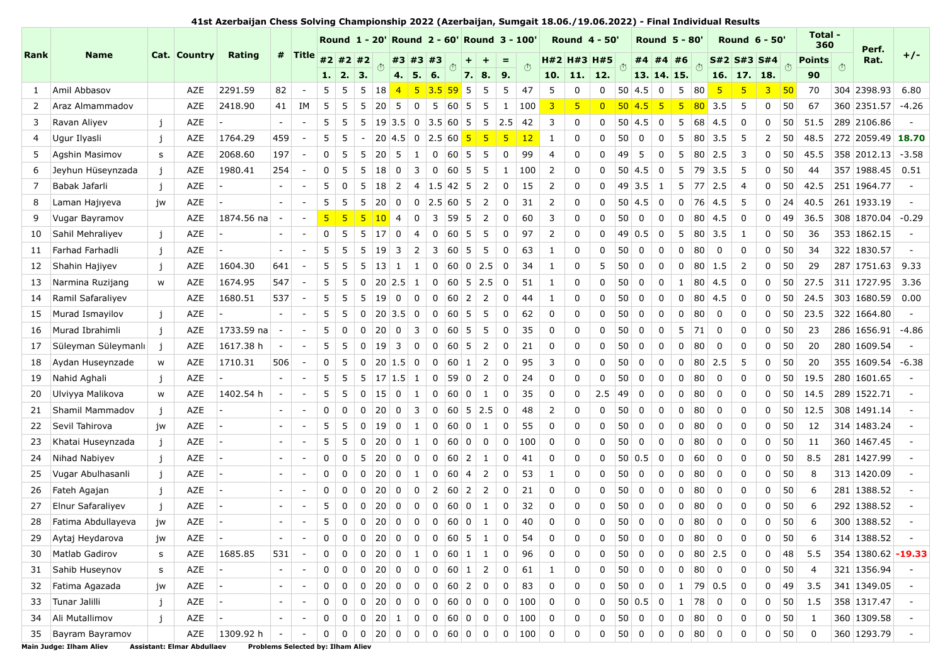**41st Azerbaijan Chess Solving Championship 2022 (Azerbaijan, Sumgait 18.06./19.06.2022) - Final Individual Results**

|      |                       |              |              |                          |                          |                          |                |              |             |                |                         |                |                 |                 |                                  |                      | Round 1 - 20' Round 2 - 60' Round 3 - 100' |     |                | <b>Round 4 - 50</b> |          |                 |             | <b>Round 5 - 80</b>     |              |                 |                | <b>Round 6 - 50'</b> |                |     | Total -<br>360 |     | Perf.              |         |
|------|-----------------------|--------------|--------------|--------------------------|--------------------------|--------------------------|----------------|--------------|-------------|----------------|-------------------------|----------------|-----------------|-----------------|----------------------------------|----------------------|--------------------------------------------|-----|----------------|---------------------|----------|-----------------|-------------|-------------------------|--------------|-----------------|----------------|----------------------|----------------|-----|----------------|-----|--------------------|---------|
| Rank | <b>Name</b>           |              | Cat. Country | <b>Rating</b>            |                          | # Title                  |                | #2 #2 #2     |             | $\ddot{\odot}$ |                         |                | #3 #3 #3        |                 |                                  |                      | $=$                                        | (1) |                | H#2 H#3 H#5         |          | (1)             |             | #4#4                    | #6           | (1)             | S#2 S#3 S#4    |                      |                | (1) | <b>Points</b>  | (1) | Rat.               | $+/-$   |
|      |                       |              |              |                          |                          |                          | 1.1            | 2.           | 3.          |                | 4.1                     |                | 5.   6.         |                 |                                  | 7.18.                | 9.                                         |     |                | $10.$ 11. 12.       |          |                 | 13. 14. 15. |                         |              |                 | 16. 17. 18.    |                      |                |     | 90             |     |                    |         |
| 1    | Amil Abbasov          |              | AZE          | 2291.59                  | 82                       |                          | 5              | 5            | 5           | 18             | $\overline{4}$          | -5             | 3.5             | 59              | 5                                | 5                    | 5                                          | 47  | 5              | $\Omega$            | 0        | 50              | 4.5         | $\mathbf 0$             | 5            | 80              | -5             | 5                    | $\overline{3}$ | 50  | 70             |     | 304 2398.93        | 6.80    |
| 2    | Araz Almammadov       |              | AZE          | 2418.90                  | 41                       | IΜ                       | 5              | 5            | 5           | 20             | 5                       | 0              | 5               |                 | $60 \mid 5$                      | 5                    | 1                                          | 100 | 3              | 5                   |          | 50 <sup>°</sup> | 4.5         | 5                       | 5            | 80              | 3.5            | 5                    | 0              | 50  | 67             |     | 360 2351.57        | $-4.26$ |
| 3    | Ravan Aliyev          | $\mathbf{i}$ | AZE          |                          | $\overline{\phantom{a}}$ |                          | 5              | 5            | 5           | 19             | 3.5                     | $\mathsf{O}$   | 3.5             | 60              | - 5                              | $5\phantom{.0}$      | 2.5                                        | 42  | 3              | $\Omega$            | 0        | 50              | 4.5         | 0                       | 5            | 68              | 4.5            | 0                    | 0              | 50  | 51.5           |     | 289 2106.86        |         |
| 4    | Ugur Ilyasli          | j            | AZE          | 1764.29                  | 459                      |                          | 5              | 5            |             |                | $20 \mid 4.5$           | $\mathbf 0$    | 2.5 60 5        |                 |                                  | 5                    | -5                                         | 12  | 1              | 0                   | 0        | 50              | 0           | 0                       | 5            | 80              | 3.5            | -5                   | 2              | 50  | 48.5           |     | 272 2059.49        | 18.70   |
| 5    | Agshin Masimov        | s            | AZE          | 2068.60                  | 197                      |                          | 0              | 5            | 5           | 20             | 5                       | 1              |                 | $0 \ 60 \ 5$    |                                  | 5                    | $\mathbf 0$                                | 99  | $\overline{4}$ | $\Omega$            | 0        | 49              | 5           | 0                       | 5            | 80              | 2.5            | 3                    | 0              | 50  | 45.5           |     | 358 2012.13        | $-3.58$ |
| 6    | Jeyhun Hüseynzada     | $\mathbf{i}$ | AZE          | 1980.41                  | 254                      |                          | 0              | 5            | 5           | 18             | 0                       | 3              | 0               |                 | 60 <sub>5</sub>                  | 5                    | $\mathbf{1}$                               | 100 | 2              | $\Omega$            | $\Omega$ | 50              | 4.5         | 0                       | 5            | 79              | 3.5            | -5                   | 0              | 50  | 44             |     | 357 1988.45        | 0.51    |
| 7    | Babak Jafarli         | $\mathbf{i}$ | AZE          |                          | $\overline{\phantom{a}}$ |                          | 5              | 0            | 5           | 18             | 2                       | 4              | 1.5             |                 | $42 \mid 5$                      | $\overline{2}$       | 0                                          | 15  | 2              | $\Omega$            | $\Omega$ | 49              | 3.5         | -1                      | 5            | 77              | 2.5            | $\overline{4}$       | 0              | 50  | 42.5           |     | 251 1964.77        |         |
| 8    | Laman Hajiyeva        | iw           | AZE          |                          | $\overline{\phantom{a}}$ |                          | 5              | 5            | 5           | 20             | 0                       | 0              | 2.5             |                 | $60 \mid 5$                      | 2                    | 0                                          | 31  | 2              | 0                   | 0        | 50              | 4.5         | 0                       | 0            | 76              | 4.5            | 5                    | 0              | 24  | 40.5           |     | 261 1933.19        |         |
| 9    | Vugar Bayramov        |              | AZE          | 1874.56 na               |                          |                          | 5 <sub>5</sub> | -5           | 5           | 10             | $\overline{4}$          | 0              | 3               | 59              | -5                               | 2                    | 0                                          | 60  | 3              | 0                   | 0        | 50              | 0           | 0                       | 0            | 80              | 4.5            | 0                    | 0              | 49  | 36.5           |     | 308 1870.04        | $-0.29$ |
| 10   | Sahil Mehraliyev      | $\mathbf{i}$ | AZE          | $\overline{\phantom{a}}$ | $\overline{\phantom{a}}$ | $\overline{\phantom{a}}$ | 0              | 5            | 5           | 17             | 0                       | 4              | 0               |                 | $60 \overline{\smash{\big)}\ 5}$ | 5                    | 0                                          | 97  | 2              | $\Omega$            | 0        | 49              | 0.5         | 0                       | 5            | 80 <sup>2</sup> | 3.5            | 1                    | 0              | 50  | 36             |     | 353 1862.15        |         |
| 11   | Farhad Farhadli       | $\mathbf{i}$ | AZE          |                          | $\overline{\phantom{a}}$ |                          | 5              | 5            | 5           | 19             | 3                       | 2              | 3               | 60              | -5                               | 5                    | 0                                          | 63  | 1              | 0                   | $\Omega$ | 50              | 0           | 0                       | 0            | 80              | 0              | 0                    | 0              | 50  | 34             |     | 322 1830.57        |         |
| 12   | Shahin Hajiyev        | $\mathbf{i}$ | AZE          | 1604.30                  | 641                      |                          | 5              | 5            | 5           | 13             |                         | 1              | 0               |                 | 60 <sub>0</sub>                  | 2.5                  | 0                                          | 34  | 1              | 0                   | 5        | 50              | 0           | 0                       | $\Omega$     | 80              | 1.5            | 2                    | 0              | 50  | 29             |     | 287 1751.63        | 9.33    |
| 13   | Narmina Ruzijang      | w            | AZE          | 1674.95                  | 547                      |                          | 5              | 5            | 0           |                | $20$ 2.5                | -1             | 0               |                 |                                  | $60 \mid 5 \mid 2.5$ | 0                                          | 51  | 1              | $\Omega$            | $\Omega$ | 50              | 0           | $\mathbf 0$             | $\mathbf{1}$ | 80              | 4.5            | 0                    | 0              | 50  | 27.5           |     | 311 1727.95        | 3.36    |
| 14   | Ramil Safaraliyev     |              | <b>AZE</b>   | 1680.51                  | 537                      |                          | 5              | 5            | 5           | 19             | 0                       | 0              | 0               | 60 <sup>1</sup> | $\overline{2}$                   | 2                    | 0                                          | 44  | 1              | 0                   | $\Omega$ | 50              | 0           | 0                       | 0            | 80              | 4.5            | 0                    | 0              | 50  | 24.5           |     | 303 1680.59        | 0.00    |
| 15   | Murad Ismayilov       | $\mathbf{i}$ | AZE          |                          | $\overline{\phantom{a}}$ |                          | 5              | 5            | 0           | 20             | 3.5                     | 0              | 0               |                 | $60 \overline{\smash{\big)}\ 5}$ | 5                    | 0                                          | 62  | $\Omega$       | $\Omega$            | $\Omega$ | 50              | 0           | 0                       | 0            | 80              | 0              | 0                    | 0              | 50  | 23.5           |     | 322 1664.80        |         |
| 16   | Murad Ibrahimli       | $\mathbf{i}$ | AZE          | 1733.59 na               |                          |                          | 5              | 0            | $\mathbf 0$ | 20             | 0                       | 3              | 0               |                 | $60 \overline{\smash{\big)}\ 5}$ | 5                    | 0                                          | 35  | 0              | 0                   | $\Omega$ | 50              | 0           | 0                       | 5            | 71              | 0              | 0                    | 0              | 50  | 23             |     | 286 1656.91        | $-4.86$ |
| 17   | Süleyman Süleymanlı   | $\mathbf{i}$ | AZE          | 1617.38 h                | $\overline{\phantom{a}}$ | $\overline{\phantom{a}}$ | 5              | 5            | 0           | 19             | 3                       | 0              | 0               |                 | 60 5                             | 2                    | 0                                          | 21  | $\Omega$       | $\Omega$            | $\Omega$ | 50              | 0           | 0                       | $\Omega$     | 80              | $\mathbf 0$    | 0                    | 0              | 50  | 20             |     | 280 1609.54        |         |
| 18   | Aydan Huseynzade      | W            | AZE          | 1710.31                  | 506                      | $\overline{\phantom{a}}$ | 0              | 5            | 0           |                | 20 1.5                  | $\overline{0}$ | 0               |                 | $60 \mid 1$                      | 2                    | 0                                          | 95  | 3              | $\Omega$            | $\Omega$ | 50              | $\mathbf 0$ | $\mathbf 0$             | 0            | 80              | 2.5            | 5                    | 0              | 50  | 20             |     | 355 1609.54        | $-6.38$ |
| 19   | Nahid Aghali          | $\mathbf{i}$ | AZE          |                          | $\overline{\phantom{a}}$ |                          | 5              | 5            | 5           | 17             | 1.5                     | -1             | 0               | 59              | $\mathbf 0$                      | 2                    | 0                                          | 24  | $\Omega$       | $\Omega$            | $\Omega$ | 50              | 0           | 0                       | $\Omega$     | 80              | 0              | 0                    | 0              | 50  | 19.5           |     | 280 1601.65        |         |
| 20   | Ulviyya Malikova      | W            | AZE          | 1402.54 h                | $\overline{\phantom{a}}$ |                          | 5              | 5            | 0           | 15             | 0                       | 1              | 0               |                 | 600                              | 1                    | 0                                          | 35  | $\Omega$       | 0                   | 2.5      | 49              | 0           | 0                       | 0            | 80              | 0              | 0                    | 0              | 50  | 14.5           |     | 289 1522.71        |         |
| 21   | Shamil Mammadov       | $\mathbf{i}$ | AZE          | $\overline{a}$           | $\overline{\phantom{a}}$ | $\blacksquare$           | 0              | 0            | 0           | 20             | $\mathbf 0$             | 3              | 0               |                 |                                  | $60 \mid 5 \mid 2.5$ | 0                                          | 48  | 2              | 0                   | $\Omega$ | 50              | 0           | 0                       | 0            | 80              | 0              | 0                    | 0              | 50  | 12.5           |     | 308 1491.14        |         |
| 22   | Sevil Tahirova        | jw           | AZE          | $\overline{a}$           | $\overline{\phantom{a}}$ |                          | 5              | 5            | 0           | 19             | 0                       | 1              | 0               |                 | 600                              | 1                    | 0                                          | 55  | $\Omega$       | 0                   | $\Omega$ | 50              | 0           | 0                       | $\Omega$     | 80              | $\mathbf 0$    | 0                    | 0              | 50  | 12             |     | 314 1483.24        |         |
| 23   | Khatai Huseynzada     | $\mathbf{i}$ | AZE          | Ι.                       | $\overline{\phantom{a}}$ |                          | 5              | 5            | 0           | 20             | 0                       | 1              | 0               | 60 <sup>1</sup> | $\mathbf 0$                      | 0                    | 0                                          | 100 | $\Omega$       | $\Omega$            | O        | 50              | 0           | $\mathbf 0$             | 0            | 80              | 0              | 0                    | 0              | 50  | 11             |     | 360 1467.45        |         |
| 24   | Nihad Nabiyev         | $\mathbf{i}$ | <b>AZE</b>   |                          | $\overline{\phantom{a}}$ |                          | 0              | 0            | 5           | 20             | 0                       | 0              | 0               | $60$ 2          |                                  | 1                    | 0                                          | 41  | 0              | 0                   | $\Omega$ | 50              | 0.5         | 0                       | 0            | 60              | 0              | 0                    | 0              | 50  | 8.5            |     | 281 1427.99        |         |
| 25   | Vugar Abulhasanli     | $\mathbf{i}$ | AZE          | <b>.</b>                 | $\overline{\phantom{a}}$ | $\overline{\phantom{a}}$ | 0              | 0            | 0           | 20             | 0                       | 1              | 0               | 60              | $\overline{4}$                   | $\overline{2}$       | 0                                          | 53  | 1              | 0                   | $\Omega$ | 50              | 0           | 0                       | 0            | 80              | 0              | 0                    | 0              | 50  | 8              |     | 313 1420.09        |         |
| 26   | Fateh Agajan          | $\mathbf{i}$ | AZE          | ı —                      | $\overline{\phantom{a}}$ |                          | 0              | 0            | 0           | 20             | 0                       | 0              | 2               |                 | $60 \mid 2$                      | 2                    | 0                                          | 21  | $\Omega$       | $\Omega$            | $\Omega$ | 50              | 0           | 0                       | 0            | 80              | 0              | 0                    | 0              | 50  | 6              |     | 281 1388.52        |         |
| 27   | Elnur Safaraliyev     | $\mathbf{i}$ | AZE          | ı —                      | $\overline{\phantom{a}}$ |                          | 5              | 0            | $\Omega$    | 20             | 0                       | 0              | 0               | 60 <sup>1</sup> | $\mathbf 0$                      | 1                    | 0                                          | 32  | $\Omega$       | 0                   | $\Omega$ | 50              | 0           | 0                       | 0            | 80              | $\mathbf 0$    | 0                    | 0              | 50  | 6              |     | 292 1388.52        |         |
| 28   | Fatima Abdullayeva    | jw           | AZE          |                          | $\overline{\phantom{a}}$ |                          | 5              | 0            | 0           | 20             | $\mathbf 0$             | 0              | 0               |                 | 60 <sub>0</sub>                  | 1                    | $\Omega$                                   | 40  | $\Omega$       | ∩                   | $\Omega$ | 50              | 0           | $\Omega$                | $\Omega$     | 80              | $\Omega$       | $\Omega$             | 0              | 50  | 6              |     | 300 1388.52        |         |
| 29   | Aytaj Heydarova       | jw           | AZE          | $\overline{a}$           |                          |                          | 0              | 0            | $\mathbf 0$ | 20             | $\overline{0}$          | $\pmb{0}$      |                 |                 | 0   60   5                       | $\mathbf{1}$         | 0                                          | 54  | 0              | 0                   | 0        | 50              | $\mathbf 0$ | $\pmb{0}$               | 0            | 80              | $\mathbf 0$    | 0                    | 0              | 50  | 6              |     | 314 1388.52        |         |
| 30   | <b>Matlab Gadirov</b> | s            | AZE          | 1685.85                  | 531                      |                          | 0              | 0            | 0           | 200            |                         | 1              |                 |                 | $0 \t 60 \t 1$                   | $\vert$ 1            | 0                                          | 96  | 0              | 0                   |          | 50              | 0           | 0                       | 0            | 80 2.5          |                | 0                    | 0              | 48  | 5.5            |     | 354 1380.62 -19.33 |         |
| 31   | Sahib Huseynov        | s            | AZE          | $\vert$ –                | $\overline{\phantom{a}}$ |                          | 0              | 0            | 0           | 20             | $\mathbf 0$             | 0              |                 |                 | $0 \mid 60 \mid 1 \mid$          | $\overline{2}$       | 0                                          | 61  | $\mathbf{1}$   | 0                   | 0        | 50              | $\mathbf 0$ | 0                       | 0            | 80              | $\overline{0}$ | 0                    | 0              | 50  | 4              |     | 321 1356.94        |         |
| 32   | Fatima Agazada        | jw           | AZE          | $\overline{a}$           | $\overline{\phantom{a}}$ |                          | 0              | 0            | 0           | 20             | $\mathbf 0$             | 0              | $\mathbf 0$     | $60$ 2          |                                  | 0                    | 0                                          | 83  | 0              | 0                   | $\Omega$ | 50              | $\mathbf 0$ | $\mathbf 0$             | $\mathbf{1}$ | 79 0.5          |                | 0                    | 0              | 49  | 3.5            |     | 341 1349.05        |         |
| 33   | Tunar Jalilli         | j            | AZE          | H.                       | $\overline{\phantom{a}}$ | $\overline{\phantom{a}}$ | 0              | $\mathbf 0$  | $\mathbf 0$ | 20             | $\overline{\mathbf{0}}$ | $\mathbf 0$    | $\overline{0}$  |                 | 60 0                             | 0                    | 0                                          | 100 | $\mathbf 0$    | 0                   | 0        |                 | 50 0.5      | $\overline{\mathbf{0}}$ | 1            | 78              | $\mathbf 0$    | 0                    | 0              | 50  | 1.5            |     | 358 1317.47        |         |
| 34   | Ali Mutallimov        | j            | AZE          | H.                       | $\overline{\phantom{a}}$ |                          | 0              | 0            |             |                | $0 \mid 20 \mid 1 \mid$ | $\mathbf 0$    |                 |                 | $0$ 60 0 0                       |                      | 0                                          | 100 | $\mathbf 0$    | 0                   | 0        | 50              | $\mathbf 0$ | $\mathbf 0$             | 0            | 80              | $\overline{0}$ | 0                    | 0              | 50  | $\mathbf{1}$   |     | 360 1309.58        |         |
| 35   | Bayram Bayramov       |              | AZE          | 1309.92 h                | $\sim$                   |                          | 0              | $\mathbf{0}$ |             |                |                         |                | 0 20 0 00060 00 |                 |                                  |                      | $\sim 0$                                   | 100 | 0              | 0                   | 0        | $50$ 0          |             | 0                       |              | $0 \quad 80$    | $\mathbf 0$    | 0                    | 0              | 50  | 0              |     | 360 1293.79        |         |

**Main Judge: Ilham Aliev Assistant: Elmar Abdullaev Problems Selected by: Ilham Aliev**